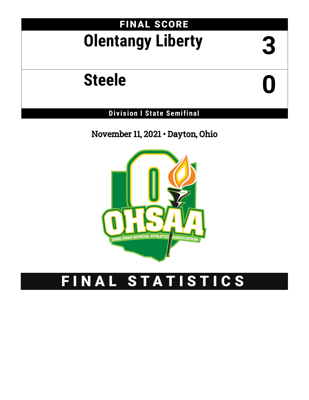# FINAL SCORE **Olentangy Liberty 3**

# **Steele 0**

**Div is ion I State Semifinal**

November 11, 2021 • Dayton, Ohio



# FINAL STATISTICS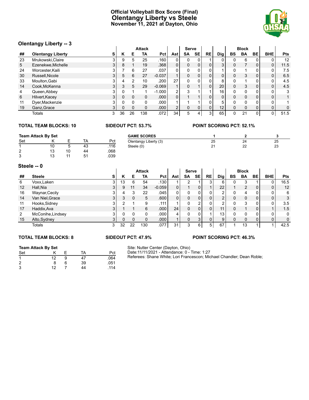### **Official Volleyball Box Score (Final) Olentangy Liberty vs Steele November 11, 2021 at Dayton, Ohio**



### **Olentangy Liberty -- 3**

| Olentangy Liberty -- 3 |                          |                |    |          |               |                   |                |           |           |           |                 |    |              |              |                |              |
|------------------------|--------------------------|----------------|----|----------|---------------|-------------------|----------------|-----------|-----------|-----------|-----------------|----|--------------|--------------|----------------|--------------|
|                        |                          |                |    |          | <b>Attack</b> |                   |                | Serve     |           |           |                 |    | <b>Block</b> |              |                |              |
| ##                     | <b>Olentangy Liberty</b> | s              | Κ  | Е        | TA            | Pct I             | Ast            | <b>SA</b> | <b>SE</b> | <b>RE</b> | Dig             | BS | <b>BA</b>    | BE           | <b>BHE</b>     | <b>Pts</b>   |
| 23                     | Mrukowski, Claire        | 3              | 9  | 5        | 25            | .160              | $\Omega$       |           |           |           | $\Omega$        |    | 6            |              |                | 12           |
| 5.                     | Ezenekwe, Michelle       | 31             | 8  |          | 19            | .368              | $\overline{0}$ | $\Omega$  | 0         |           | 3 <sub>1</sub>  | 0  |              | 0            | 0              | 11.5         |
| 24                     | Worcester, Kaili         |                |    | 6        | 27            | .037              | $\overline{0}$ |           | 0         |           |                 | 0  | и            |              | 0              | 7.5          |
| 30                     | Russell, Nicole          | 3 <sup>1</sup> | 5  | 6        | 27            | $-0.037$          |                |           | 0         |           | $\overline{0}$  | 0  | 3            | $\mathbf{0}$ | 0              | 6.5          |
| 33                     | Moulton, Gabi            | 3              |    | 2        | 10            | .200              | 27             |           | 0         |           | 8               | U  | и            |              | 0              | 4.5          |
| 14                     | Cook, McKenna            | 3              | 3  | 5        | 29            | $-0.069$          |                |           |           | 0         | 20              | 0  | 3            | 0            | $\mathbf 0$    | 4.5          |
| 4                      | Queen, Abbey             | 3              |    |          |               | $-1.000$          | 2 <sub>1</sub> |           |           |           | 16              | 0  | 0            | 0            | 0              | 3            |
| 6                      | Hilvert, Kacey           | 3 <sup>1</sup> |    | $\Omega$ | 0             | .000 <sub>1</sub> | $\overline{0}$ |           |           |           | 0 <sub>1</sub>  | 0  | 0            | 0            | 0 <sub>1</sub> | $\mathbf{1}$ |
| 11                     | Dyer, Mackenzie          | 3              |    | $\Omega$ | 0             | .000 <sub>1</sub> |                |           |           |           | 5               | U  | $\Omega$     | 0            | 0              |              |
| 19                     | Ganz, Grace              | 3.             | 0  |          | 0             | .000 <sub>1</sub> | 2 <sub>1</sub> |           | 0         | 0         | 12 <sub>1</sub> | 0  | $\Omega$     | 0            | $\mathbf 0$    | 0            |
|                        | Totals                   | 3              | 36 | 26       | 138           | .072              | 34             | 5         | 4         | 3         | 65              |    | 21           | 0            | 0              | 51.5         |

### **TOTAL TEAM BLOCKS: 10 SIDEOUT PCT: 53.7% POINT SCORING PCT: 52.1%**

|        | <b>Team Attack By Set</b> |    |           |      | <b>GAME SCORES</b>    |         |    |    |
|--------|---------------------------|----|-----------|------|-----------------------|---------|----|----|
| Set    |                           |    | <b>TA</b> | Pct  | Olentangy Liberty (3) | 25      | 24 | 25 |
|        | 10                        | ັ  | 43        | .116 | Steele (0)            | າາ<br>- | 22 | 23 |
| ◠      | 1 ว                       | 10 | 44        | 860. |                       |         |    |    |
| $\sim$ |                           |    | 51        | .039 |                       |         |    |    |

### **Steele -- 0**

| ט יי סוסטע |                   |   |    |          |               |                   |                |              |                |          |                 |              |                |          |            |      |
|------------|-------------------|---|----|----------|---------------|-------------------|----------------|--------------|----------------|----------|-----------------|--------------|----------------|----------|------------|------|
|            |                   |   |    |          | <b>Attack</b> |                   |                | <b>Serve</b> |                |          |                 |              | <b>Block</b>   |          |            |      |
| ##         | <b>Steele</b>     | s | Κ  | Е        | TA            | Pct               | Ast            | <b>SA</b>    | <b>SE</b>      | RE       | Dig             | BS           | <b>BA</b>      | BE       | <b>BHE</b> | Pts  |
| 6          | Voxx, Laken       | 3 | 13 | 6        | 54            | .130              |                |              |                |          | 6               |              | 3              |          | 0          | 16.5 |
| 12         | Hall.Nia          | 3 | 9  | 11       | 34            | $-0.059$          | 0 <sub>1</sub> |              | 0              |          | 22              |              | $\overline{2}$ | 0        | 0          | 12   |
| 16         | Waynar, Cecily    | ົ |    | 3        | 22            | .045              | 01             |              |                |          | ◠               |              | 4              | 0        | 0          | 6    |
| 14         | Van Niel, Grace   | 3 |    | $\Omega$ | 5             | .600 <sub>1</sub> | $\overline{0}$ |              | 0              |          | $\overline{2}$  |              | 0              | 0        | 0          | 3    |
| 11         | Hooks, Sidney     | 3 |    |          | 9             | .111              |                |              | ົ              |          | ົ               |              | 3              | 0        | 0          | 3.5  |
| 17         | Haddix, Ava       | 3 |    |          | 6             | .000 <sub>1</sub> | 24             |              | $\overline{0}$ |          | 11              | <sup>0</sup> |                | $\Omega$ |            | 1.5  |
| 2          | McConihe, Lindsey | 3 |    |          |               | .000              | 4              |              | 0              |          | 13 <sub>1</sub> |              | 0              | 0        | 0          | 0    |
| 15         | Alto, Sydney      | 3 | 0  | 0        |               | .000 <sub>1</sub> |                | $\Omega$     | 3              | $\Omega$ | 9               | 0            | $\Omega$       | 0        | 0          | 0    |
|            | Totals            | 3 | 32 | 22       | 130           | .077              | 31             |              | 6              | 5        | 67              |              | 13             |          |            | 42.5 |

## **Team Attack By Set** Set K E TA Pct

| 1              | 12 | -9 | 47  | .064 |
|----------------|----|----|-----|------|
| $\overline{2}$ | 8  | 6  | -39 | .051 |
| 3              | 12 |    | 44  | .114 |

### **TOTAL TEAM BLOCKS: 8 SIDEOUT PCT: 47.9% POINT SCORING PCT: 46.3%**

Site: Nutter Center (Dayton, Ohio) Date:11/11/2021 - Attendance: 0 - Time: 1:27

Referees: Shane White; Lori Francescon; Michael Chandler; Dean Roble;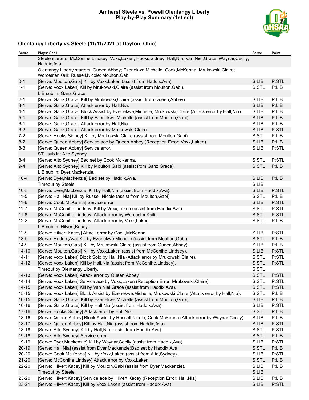### **Amherst Steele vs. Powell Olentangy Liberty Play-by-Play Summary (1st set)**



# **Olentangy Liberty vs Steele (11/11/2021 at Dayton, Ohio)**

| Score     | Plays: Set 1                                                                                                                                        | Serve | Point |
|-----------|-----------------------------------------------------------------------------------------------------------------------------------------------------|-------|-------|
|           | Steele starters: McConihe, Lindsey; Voxx, Laken; Hooks, Sidney; Hall, Nia; Van Niel, Grace; Waynar, Cecily;<br>Haddix, Ava                          |       |       |
|           | Olentangy Liberty starters: Queen, Abbey; Ezenekwe, Michelle; Cook, McKenna; Mrukowski, Claire;<br>Worcester, Kaili; Russell, Nicole; Moulton, Gabi |       |       |
| $0 - 1$   | [Serve: Moulton, Gabi] Kill by Voxx, Laken (assist from Haddix, Ava).                                                                               | S:LIB | P:STL |
| $1 - 1$   | [Serve: Voxx, Laken] Kill by Mrukowski, Claire (assist from Moulton, Gabi).                                                                         | S:STL | P:LIB |
|           | LIB sub in: Ganz, Grace.                                                                                                                            |       |       |
| $2 - 1$   | [Serve: Ganz, Grace] Kill by Mrukowski, Claire (assist from Queen, Abbey).                                                                          | S:LIB | P:LIB |
| $3 - 1$   | [Serve: Ganz, Grace] Attack error by Hall, Nia.                                                                                                     | S:LIB | P:LIB |
| $4 - 1$   | [Serve: Ganz, Grace] Block Assist by Ezenekwe, Michelle; Mrukowski, Claire (Attack error by Hall, Nia).                                             | S:LIB | P:LIB |
| $5-1$     | [Serve: Ganz, Grace] Kill by Ezenekwe, Michelle (assist from Moulton, Gabi).                                                                        | S:LIB | P:LIB |
| $6 - 1$   | [Serve: Ganz, Grace] Attack error by Hall, Nia.                                                                                                     | S:LIB | P:LIB |
| $6 - 2$   | [Serve: Ganz, Grace] Attack error by Mrukowski, Claire.                                                                                             | S:LIB | P:STL |
| $7 - 2$   | [Serve: Hooks, Sidney] Kill by Mrukowski, Claire (assist from Moulton, Gabi).                                                                       | S:STL | P:LIB |
| $8 - 2$   | [Serve: Queen, Abbey] Service ace by Queen, Abbey (Reception Error: Voxx, Laken).                                                                   | S:LIB | P:LIB |
| $8 - 3$   | [Serve: Queen, Abbey] Service error.                                                                                                                | S:LIB | P:STL |
|           | STL sub in: Alto, Sydney.                                                                                                                           |       |       |
| $8 - 4$   | [Serve: Alto, Sydney] Bad set by Cook, McKenna.                                                                                                     | S:STL | P:STL |
| $9 - 4$   | [Serve: Alto, Sydney] Kill by Moulton, Gabi (assist from Ganz, Grace).                                                                              | S:STL | P:LIB |
|           | LIB sub in: Dyer, Mackenzie.                                                                                                                        |       |       |
| $10 - 4$  | [Serve: Dyer, Mackenzie] Bad set by Haddix, Ava.                                                                                                    | S:LIB | P:LIB |
|           | Timeout by Steele.                                                                                                                                  | S:LIB |       |
| $10 - 5$  | [Serve: Dyer, Mackenzie] Kill by Hall, Nia (assist from Haddix, Ava).                                                                               | S:LIB | P:STL |
| $11 - 5$  | [Serve: Hall, Nia] Kill by Russell, Nicole (assist from Moulton, Gabi).                                                                             | S:STL | P:LIB |
| $11 - 6$  | [Serve: Cook, McKenna] Service error.                                                                                                               | S:LIB | P:STL |
| $11 - 7$  | [Serve: McConihe, Lindsey] Kill by Voxx, Laken (assist from Haddix, Ava).                                                                           | S:STL | P:STL |
| $11 - 8$  | [Serve: McConihe, Lindsey] Attack error by Worcester, Kaili.                                                                                        | S:STL | P:STL |
| $12 - 8$  | [Serve: McConihe,Lindsey] Attack error by Voxx,Laken.                                                                                               | S:STL | P:LIB |
|           | LIB sub in: Hilvert, Kacey.                                                                                                                         |       |       |
| $12-9$    | [Serve: Hilvert, Kacey] Attack error by Cook, McKenna.                                                                                              | S:LIB | P:STL |
| $13-9$    | [Serve: Haddix, Ava] Kill by Ezenekwe, Michelle (assist from Moulton, Gabi).                                                                        | S:STL | P:LIB |
| $14-9$    | [Serve: Moulton, Gabi] Kill by Mrukowski, Claire (assist from Queen, Abbey).                                                                        | S:LIB | P:LIB |
| $14 - 10$ | [Serve: Moulton, Gabi] Kill by Voxx, Laken (assist from McConihe, Lindsey).                                                                         | S:LIB | P:STL |
| $14 - 11$ | [Serve: Voxx, Laken] Block Solo by Hall, Nia (Attack error by Mrukowski, Claire).                                                                   | S:STL | P:STL |
| $14 - 12$ | [Serve: Voxx, Laken] Kill by Hall, Nia (assist from McConihe, Lindsey).                                                                             | S:STL | P:STL |
|           | Timeout by Olentangy Liberty.                                                                                                                       | S:STL |       |
| $14 - 13$ | [Serve: Voxx, Laken] Attack error by Queen, Abbey.                                                                                                  | S:STL | P:STL |
| $14 - 14$ | [Serve: Voxx,Laken] Service ace by Voxx,Laken (Reception Error: Mrukowski,Claire).                                                                  | S:STL | P:STL |
| $14 - 15$ | [Serve: Voxx, Laken] Kill by Van Niel, Grace (assist from Haddix, Ava).                                                                             | S:STL | P:STL |
| $15 - 15$ | [Serve: Voxx,Laken] Block Assist by Ezenekwe,Michelle; Mrukowski,Claire (Attack error by Hall,Nia).                                                 | S:STL | P:LIB |
| $16 - 15$ | [Serve: Ganz, Grace] Kill by Ezenekwe, Michelle (assist from Moulton, Gabi).                                                                        | S:LIB | P:LIB |
| 16-16     | [Serve: Ganz, Grace] Kill by Hall, Nia (assist from Haddix, Ava).                                                                                   | S:LIB | P:STL |
| $17 - 16$ | [Serve: Hooks, Sidney] Attack error by Hall, Nia.                                                                                                   | S:STL | P:LIB |
| 18-16     | [Serve: Queen, Abbey] Block Assist by Russell, Nicole; Cook, McKenna (Attack error by Waynar, Cecily).                                              | S:LIB | P:LIB |
| $18 - 17$ | [Serve: Queen, Abbey] Kill by Hall, Nia (assist from Haddix, Ava).                                                                                  | S:LIB | P:STL |
| $18 - 18$ | [Serve: Alto, Sydney] Kill by Hall, Nia (assist from Haddix, Ava).                                                                                  | S:STL | P:STL |
| 19-18     | [Serve: Alto, Sydney] Service error.                                                                                                                | S:STL | P:LIB |
| 19-19     | [Serve: Dyer, Mackenzie] Kill by Waynar, Cecily (assist from Haddix, Ava).                                                                          | S:LIB | P:STL |
| $20 - 19$ | [Serve: Hall, Nia] (assist from Dyer, Mackenzie) Bad set by Haddix, Ava.                                                                            | S:STL | P:LIB |
| $20 - 20$ | [Serve: Cook, McKenna] Kill by Voxx, Laken (assist from Alto, Sydney).                                                                              | S:LIB | P:STL |
| $21 - 20$ | [Serve: McConihe, Lindsey] Attack error by Voxx, Laken.                                                                                             | S:STL | P:LIB |
| 22-20     | [Serve: Hilvert, Kacey] Kill by Moulton, Gabi (assist from Dyer, Mackenzie).                                                                        | S:LIB | P:LIB |
|           | Timeout by Steele.                                                                                                                                  | S:LIB |       |
| 23-20     | [Serve: Hilvert, Kacey] Service ace by Hilvert, Kacey (Reception Error: Hall, Nia).                                                                 | S:LIB | P:LIB |
| $23 - 21$ | [Serve: Hilvert, Kacey] Kill by Voxx, Laken (assist from Haddix, Ava).                                                                              | S:LIB | P:STL |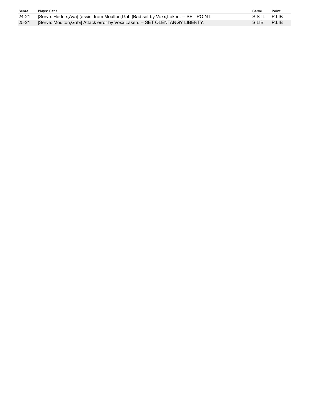| <b>Score</b> | Plavs: Set 1                                                                           | Serve       | Point |
|--------------|----------------------------------------------------------------------------------------|-------------|-------|
| 24-21        | [Serve: Haddix, Ava] (assist from Moulton, Gabi) Bad set by Voxx, Laken. -- SET POINT. | S:STL P:LIB |       |
| $25 - 21$    | [Serve: Moulton, Gabi] Attack error by Voxx, Laken. -- SET OLENTANGY LIBERTY.          | S:LIB       | P:LIB |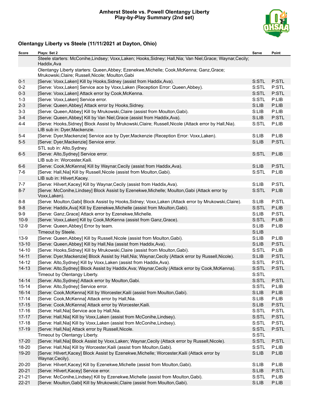### **Amherst Steele vs. Powell Olentangy Liberty Play-by-Play Summary (2nd set)**



# **Olentangy Liberty vs Steele (11/11/2021 at Dayton, Ohio)**

| Score     | Plays: Set 2                                                                                                                                   | Serve | Point |
|-----------|------------------------------------------------------------------------------------------------------------------------------------------------|-------|-------|
|           | Steele starters: McConihe, Lindsey; Voxx, Laken; Hooks, Sidney; Hall, Nia; Van Niel, Grace; Waynar, Cecily;<br>Haddix, Ava                     |       |       |
|           | Olentangy Liberty starters: Queen, Abbey; Ezenekwe, Michelle; Cook, McKenna; Ganz, Grace;<br>Mrukowski, Claire; Russell, Nicole; Moulton, Gabi |       |       |
| $0 - 1$   | [Serve: Voxx, Laken] Kill by Hooks, Sidney (assist from Haddix, Ava).                                                                          | S:STL | P:STL |
| $0 - 2$   | [Serve: Voxx, Laken] Service ace by Voxx, Laken (Reception Error: Queen, Abbey).                                                               | S:STL | P:STL |
| $0 - 3$   | [Serve: Voxx, Laken] Attack error by Cook, McKenna.                                                                                            | S:STL | P:STL |
| $1 - 3$   | [Serve: Voxx, Laken] Service error.                                                                                                            | S:STL | P:LIB |
| $2 - 3$   | [Serve: Queen, Abbey] Attack error by Hooks, Sidney.                                                                                           | S:LIB | P:LIB |
| $3 - 3$   | [Serve: Queen, Abbey] Kill by Mrukowski, Claire (assist from Moulton, Gabi).                                                                   | S:LIB | P:LIB |
| $3 - 4$   | [Serve: Queen, Abbey] Kill by Van Niel, Grace (assist from Haddix, Ava).                                                                       | S:LIB | P:STL |
| $4 - 4$   | [Serve: Hooks, Sidney] Block Assist by Mrukowski, Claire; Russell, Nicole (Attack error by Hall, Nia).                                         | S:STL | P:LIB |
|           | LIB sub in: Dyer, Mackenzie.                                                                                                                   |       |       |
| $5 - 4$   | [Serve: Dyer, Mackenzie] Service ace by Dyer, Mackenzie (Reception Error: Voxx, Laken).                                                        | S:LIB | P:LIB |
| $5-5$     | [Serve: Dyer, Mackenzie] Service error.                                                                                                        | S:LIB | P:STL |
|           | STL sub in: Alto, Sydney.                                                                                                                      |       |       |
| $6-5$     | [Serve: Alto, Sydney] Service error.                                                                                                           | S:STL | P:LIB |
|           | LIB sub in: Worcester, Kaili.                                                                                                                  |       |       |
| $6-6$     | [Serve: Cook, McKenna] Kill by Waynar, Cecily (assist from Haddix, Ava).                                                                       | S:LIB | P:STL |
| $7-6$     | [Serve: Hall, Nia] Kill by Russell, Nicole (assist from Moulton, Gabi).                                                                        | S:STL | P:LIB |
|           | LIB sub in: Hilvert, Kacey.                                                                                                                    |       |       |
| $7 - 7$   | [Serve: Hilvert, Kacey] Kill by Waynar, Cecily (assist from Haddix, Ava).                                                                      | S:LIB | P:STL |
| $8 - 7$   | [Serve: McConihe, Lindsey] Block Assist by Ezenekwe, Michelle; Moulton, Gabi (Attack error by<br>Voxx, Laken).                                 | S:STL | P:LIB |
| $8 - 8$   | [Serve: Moulton, Gabi] Block Assist by Hooks, Sidney; Voxx, Laken (Attack error by Mrukowski, Claire).                                         | S:LIB | P:STL |
| $9-8$     | [Serve: Haddix, Ava] Kill by Ezenekwe, Michelle (assist from Moulton, Gabi).                                                                   | S:STL | P:LIB |
| $9-9$     | [Serve: Ganz, Grace] Attack error by Ezenekwe, Michelle.                                                                                       | S:LIB | P:STL |
| $10-9$    | [Serve: Voxx, Laken] Kill by Cook, McKenna (assist from Ganz, Grace).                                                                          | S:STL | P:LIB |
| $12-9$    | [Serve: Queen, Abbey] Error by team.                                                                                                           | S:LIB | P:LIB |
|           | Timeout by Steele.                                                                                                                             | S:LIB |       |
| $13-9$    | [Serve: Queen, Abbey] Kill by Russell, Nicole (assist from Moulton, Gabi).                                                                     | S:LIB | P:LIB |
| $13 - 10$ | [Serve: Queen, Abbey] Kill by Hall, Nia (assist from Haddix, Ava).                                                                             | S:LIB | P:STL |
| $14 - 10$ | [Serve: Hooks, Sidney] Kill by Mrukowski, Claire (assist from Moulton, Gabi).                                                                  | S:STL | P:LIB |
| $14 - 11$ | [Serve: Dyer, Mackenzie] Block Assist by Hall, Nia; Waynar, Cecily (Attack error by Russell, Nicole).                                          | S:LIB | P:STL |
| $14 - 12$ | [Serve: Alto, Sydney] Kill by Voxx, Laken (assist from Haddix, Ava).                                                                           | S:STL | P:STL |
| $14 - 13$ | [Serve: Alto, Sydney] Block Assist by Haddix, Ava; Waynar, Cecily (Attack error by Cook, McKenna).                                             | S:STL | P:STL |
|           | Timeout by Olentangy Liberty.                                                                                                                  | S:STL |       |
| $14 - 14$ | [Serve: Alto, Sydney] Attack error by Moulton, Gabi.                                                                                           | S:STL | P:STL |
| $15 - 14$ | [Serve: Alto, Sydney] Service error.                                                                                                           | S:STL | P:LIB |
| $16 - 14$ | [Serve: Cook, McKenna] Kill by Worcester, Kaili (assist from Moulton, Gabi).                                                                   | S:LIB | P:LIB |
| $17 - 14$ | [Serve: Cook, McKenna] Attack error by Hall, Nia.                                                                                              | S:LIB | P:LIB |
| $17 - 15$ | [Serve: Cook, McKenna] Attack error by Worcester, Kaili.                                                                                       | S:LIB | P:STL |
| $17 - 16$ | [Serve: Hall, Nia] Service ace by Hall, Nia.                                                                                                   | S:STL | P:STL |
| $17 - 17$ | [Serve: Hall, Nia] Kill by Voxx, Laken (assist from McConihe, Lindsey).                                                                        | S:STL | P:STL |
| $17-18$   | [Serve: Hall, Nia] Kill by Voxx, Laken (assist from McConihe, Lindsey).                                                                        | S:STL | P:STL |
| $17-19$   | [Serve: Hall, Nia] Attack error by Russell, Nicole.                                                                                            | S:STL | P:STL |
|           | Timeout by Olentangy Liberty.                                                                                                                  | S:STL |       |
| $17 - 20$ | [Serve: Hall, Nia] Block Assist by Voxx, Laken; Waynar, Cecily (Attack error by Russell, Nicole).                                              | S:STL | P:STL |
| 18-20     | [Serve: Hall, Nia] Kill by Worcester, Kaili (assist from Moulton, Gabi).                                                                       | S:STL | P:LIB |
| 19-20     | [Serve: Hilvert, Kacey] Block Assist by Ezenekwe, Michelle; Worcester, Kaili (Attack error by<br>Waynar, Cecily).                              | S:LIB | P:LIB |
| $20 - 20$ | [Serve: Hilvert, Kacey] Kill by Ezenekwe, Michelle (assist from Moulton, Gabi).                                                                | S:LIB | P:LIB |
| $20 - 21$ | [Serve: Hilvert, Kacey] Service error.                                                                                                         | S:LIB | P:STL |
| $21 - 21$ | [Serve: McConihe, Lindsey] Kill by Ezenekwe, Michelle (assist from Moulton, Gabi).                                                             | S:STL | P:LIB |
| $22 - 21$ | [Serve: Moulton, Gabi] Kill by Mrukowski, Claire (assist from Moulton, Gabi).                                                                  | S:LIB | P:LIB |
|           |                                                                                                                                                |       |       |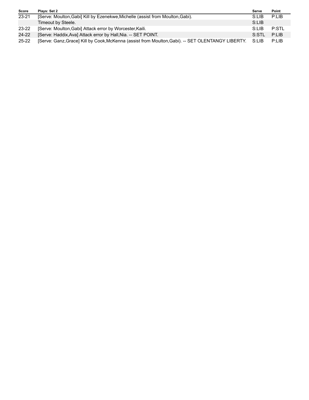| <b>Score</b> | Plays: Set 2                                                                                      | Serve  | Point |
|--------------|---------------------------------------------------------------------------------------------------|--------|-------|
| $23 - 21$    | [Serve: Moulton, Gabi] Kill by Ezenekwe, Michelle (assist from Moulton, Gabi).                    | S:LIB  | P:LIB |
|              | Timeout by Steele.                                                                                | S:LIB  |       |
| $23 - 22$    | [Serve: Moulton, Gabi] Attack error by Worcester, Kaili.                                          | S:LIB  | P:STL |
| 24-22        | [Serve: Haddix, Ava] Attack error by Hall, Nia. -- SET POINT.                                     | S:STL  | P:IB  |
| 25-22        | [Serve: Ganz, Grace] Kill by Cook, McKenna (assist from Moulton, Gabi). -- SET OLENTANGY LIBERTY. | -S:LIB | P:LIB |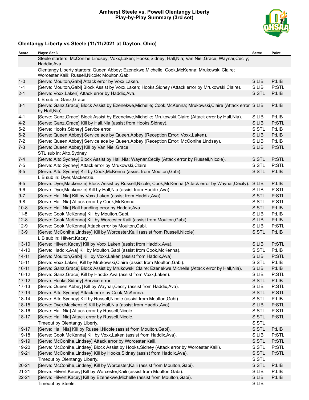### **Amherst Steele vs. Powell Olentangy Liberty Play-by-Play Summary (3rd set)**



# **Olentangy Liberty vs Steele (11/11/2021 at Dayton, Ohio)**

| Score     | Plays: Set 3                                                                                                                                        | Serve | Point |
|-----------|-----------------------------------------------------------------------------------------------------------------------------------------------------|-------|-------|
|           | Steele starters: McConihe, Lindsey; Voxx, Laken; Hooks, Sidney; Hall, Nia; Van Niel, Grace; Waynar, Cecily;<br>Haddix, Ava                          |       |       |
|           | Olentangy Liberty starters: Queen, Abbey; Ezenekwe, Michelle; Cook, McKenna; Mrukowski, Claire;<br>Worcester, Kaili; Russell, Nicole; Moulton, Gabi |       |       |
| $1-0$     | [Serve: Moulton, Gabi] Attack error by Voxx, Laken.                                                                                                 | S:LIB | P:LIB |
| $1 - 1$   | [Serve: Moulton, Gabi] Block Assist by Voxx, Laken; Hooks, Sidney (Attack error by Mrukowski, Claire).                                              | S:LIB | P:STL |
| $2 - 1$   | [Serve: Voxx, Laken] Attack error by Haddix, Ava.                                                                                                   | S:STL | P:LIB |
|           | LIB sub in: Ganz, Grace.                                                                                                                            |       |       |
| $3 - 1$   | [Serve: Ganz, Grace] Block Assist by Ezenekwe, Michelle; Cook, McKenna; Mrukowski, Claire (Attack error S:LIB<br>by Hall, Nia).                     |       | P:LIB |
| $4 - 1$   | [Serve: Ganz, Grace] Block Assist by Ezenekwe, Michelle; Mrukowski, Claire (Attack error by Hall, Nia).                                             | S:LIB | P:LIB |
| $4 - 2$   | [Serve: Ganz, Grace] Kill by Hall, Nia (assist from Hooks, Sidney).                                                                                 | S:LIB | P:STL |
| $5-2$     | [Serve: Hooks, Sidney] Service error.                                                                                                               | S:STL | P:LIB |
| $6-2$     | [Serve: Queen, Abbey] Service ace by Queen, Abbey (Reception Error: Voxx, Laken).                                                                   | S:LIB | P:LIB |
| $7 - 2$   | [Serve: Queen, Abbey] Service ace by Queen, Abbey (Reception Error: McConihe, Lindsey).                                                             | S:LIB | P:LIB |
| $7 - 3$   | [Serve: Queen, Abbey] Kill by Van Niel, Grace.                                                                                                      | S:LIB | P:STL |
|           | STL sub in: Alto, Sydney.                                                                                                                           |       |       |
| $7 - 4$   | [Serve: Alto, Sydney] Block Assist by Hall, Nia; Waynar, Cecily (Attack error by Russell, Nicole).                                                  | S:STL | P:STL |
| $7 - 5$   | [Serve: Alto, Sydney] Attack error by Mrukowski, Claire.                                                                                            | S:STL | P:STL |
| $8-5$     | [Serve: Alto, Sydney] Kill by Cook, McKenna (assist from Moulton, Gabi).                                                                            | S:STL | P:LIB |
|           | LIB sub in: Dyer, Mackenzie.                                                                                                                        |       |       |
| $9-5$     | [Serve: Dyer, Mackenzie] Block Assist by Russell, Nicole; Cook, McKenna (Attack error by Waynar, Cecily).                                           | S:LIB | P:LIB |
| $9-6$     | [Serve: Dyer, Mackenzie] Kill by Hall, Nia (assist from Haddix, Ava).                                                                               | S:LIB | P:STL |
| $9 - 7$   | [Serve: Hall, Nia] Kill by Voxx, Laken (assist from Haddix, Ava).                                                                                   | S:STL | P:STL |
| $9-8$     | [Serve: Hall, Nia] Attack error by Cook, McKenna.                                                                                                   | S:STL | P:STL |
| $10 - 8$  | [Serve: Hall, Nia] Ball handling error by Haddix, Ava.                                                                                              | S:STL | P:LIB |
| $11 - 8$  | [Serve: Cook, McKenna] Kill by Moulton, Gabi.                                                                                                       | S:LIB | P:LIB |
| $12 - 8$  | [Serve: Cook, McKenna] Kill by Worcester, Kaili (assist from Moulton, Gabi).                                                                        | S:LIB | P:LIB |
| $12-9$    | [Serve: Cook, McKenna] Attack error by Moulton, Gabi.                                                                                               | S:LIB | P:STL |
| $13-9$    | [Serve: McConihe,Lindsey] Kill by Worcester, Kaili (assist from Russell, Nicole).                                                                   | S:STL | P:LIB |
|           | LIB sub in: Hilvert, Kacey.                                                                                                                         |       |       |
| $13 - 10$ | [Serve: Hilvert, Kacey] Kill by Voxx, Laken (assist from Haddix, Ava).                                                                              | S:LIB | P:STL |
| $14 - 10$ | [Serve: Haddix, Ava] Kill by Moulton, Gabi (assist from Cook, McKenna).                                                                             | S:STL | P:LIB |
| $14 - 11$ | [Serve: Moulton, Gabi] Kill by Voxx, Laken (assist from Haddix, Ava).                                                                               | S:LIB | P:STL |
| $15 - 11$ | [Serve: Voxx, Laken] Kill by Mrukowski, Claire (assist from Moulton, Gabi).                                                                         | S:STL | P:LIB |
| $16 - 11$ | [Serve: Ganz, Grace] Block Assist by Mrukowski, Claire; Ezenekwe, Michelle (Attack error by Hall, Nia).                                             | S:LIB | P:LIB |
| 16-12     | [Serve: Ganz, Grace] Kill by Haddix, Ava (assist from Voxx, Laken).                                                                                 | S:LIB | P:STL |
| $17 - 12$ | [Serve: Hooks, Sidney] Service error.                                                                                                               | S:STL | P:LIB |
| $17 - 13$ | [Serve: Queen, Abbey] Kill by Waynar, Cecily (assist from Haddix, Ava).                                                                             | S:LIB | P:STL |
| $17 - 14$ | [Serve: Alto, Sydney] Attack error by Cook, McKenna.                                                                                                | S:STL | P:STL |
| $18 - 14$ | [Serve: Alto, Sydney] Kill by Russell, Nicole (assist from Moulton, Gabi).                                                                          | S:STL | P:LIB |
| $18 - 15$ | [Serve: Dyer, Mackenzie] Kill by Hall, Nia (assist from Haddix, Ava).                                                                               | S:LIB | P:STL |
| 18-16     | [Serve: Hall, Nia] Attack error by Russell, Nicole.                                                                                                 | S:STL | P:STL |
| $18 - 17$ | [Serve: Hall, Nia] Attack error by Russell, Nicole.                                                                                                 | S:STL | P:STL |
|           | Timeout by Olentangy Liberty.                                                                                                                       | S:STL |       |
| 19-17     | [Serve: Hall, Nia] Kill by Russell, Nicole (assist from Moulton, Gabi).                                                                             | S:STL | P:LIB |
| 19-18     | [Serve: Cook, McKenna] Kill by Voxx, Laken (assist from Haddix, Ava).                                                                               | S:LIB | P:STL |
| 19-19     | [Serve: McConihe,Lindsey] Attack error by Worcester, Kaili.                                                                                         | S:STL | P:STL |
| 19-20     | [Serve: McConihe, Lindsey] Block Assist by Hooks, Sidney (Attack error by Worcester, Kaili).                                                        | S:STL | P:STL |
| $19 - 21$ | [Serve: McConihe, Lindsey] Kill by Hooks, Sidney (assist from Haddix, Ava).                                                                         | S:STL | P:STL |
|           | Timeout by Olentangy Liberty.                                                                                                                       | S:STL |       |
| $20 - 21$ | [Serve: McConihe, Lindsey] Kill by Worcester, Kaili (assist from Moulton, Gabi).                                                                    | S:STL | P:LIB |
| $21 - 21$ | [Serve: Hilvert, Kacey] Kill by Worcester, Kaili (assist from Moulton, Gabi).                                                                       | S:LIB | P:LIB |
| $22 - 21$ | [Serve: Hilvert, Kacey] Kill by Ezenekwe, Michelle (assist from Moulton, Gabi).                                                                     | S:LIB | P:LIB |
|           | Timeout by Steele.                                                                                                                                  | S:LIB |       |